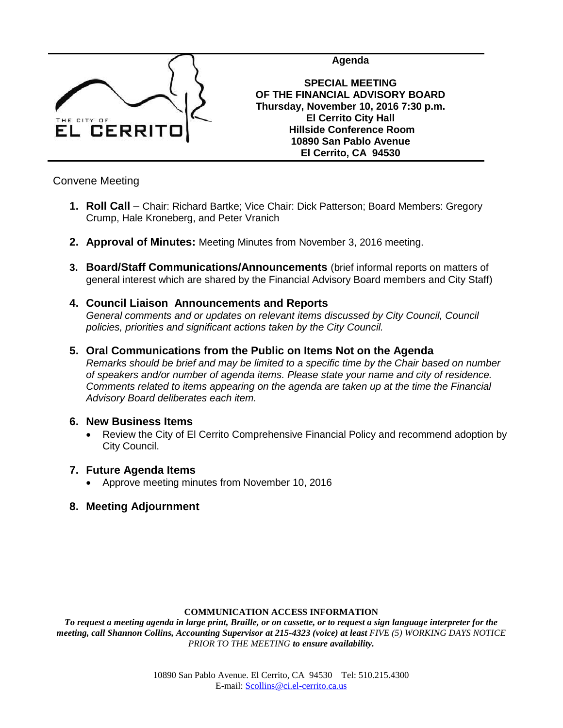

**Agenda**

**SPECIAL MEETING OF THE FINANCIAL ADVISORY BOARD Thursday, November 10, 2016 7:30 p.m. El Cerrito City Hall Hillside Conference Room 10890 San Pablo Avenue El Cerrito, CA 94530**

Convene Meeting

- **1. Roll Call** Chair: Richard Bartke; Vice Chair: Dick Patterson; Board Members: Gregory Crump, Hale Kroneberg, and Peter Vranich
- **2. Approval of Minutes:** Meeting Minutes from November 3, 2016 meeting.
- **3. Board/Staff Communications/Announcements** (brief informal reports on matters of general interest which are shared by the Financial Advisory Board members and City Staff)
- **4. Council Liaison Announcements and Reports** *General comments and or updates on relevant items discussed by City Council, Council policies, priorities and significant actions taken by the City Council.*
- **5. Oral Communications from the Public on Items Not on the Agenda** *Remarks should be brief and may be limited to a specific time by the Chair based on number of speakers and/or number of agenda items. Please state your name and city of residence. Comments related to items appearing on the agenda are taken up at the time the Financial Advisory Board deliberates each item.*

## **6. New Business Items**

 Review the City of El Cerrito Comprehensive Financial Policy and recommend adoption by City Council.

## **7. Future Agenda Items**

Approve meeting minutes from November 10, 2016

## **8. Meeting Adjournment**

### **COMMUNICATION ACCESS INFORMATION**

*To request a meeting agenda in large print, Braille, or on cassette, or to request a sign language interpreter for the meeting, call Shannon Collins, Accounting Supervisor at 215-4323 (voice) at least FIVE (5) WORKING DAYS NOTICE PRIOR TO THE MEETING to ensure availability.*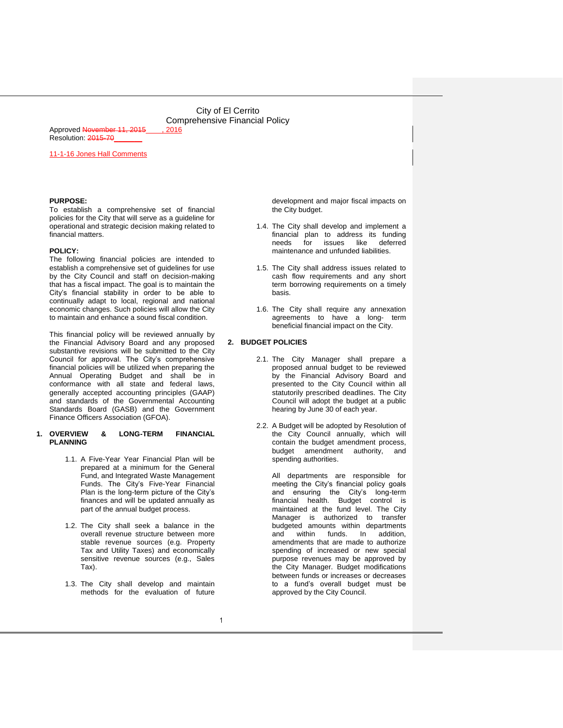Approved November 11, 2015 . 2016 Resolution: 2015-70

11-1-16 Jones Hall Comments

#### **PURPOSE:**

To establish a comprehensive set of financial policies for the City that will serve as a guideline for operational and strategic decision making related to financial matters.

#### **POLICY:**

The following financial policies are intended to establish a comprehensive set of guidelines for use by the City Council and staff on decision-making that has a fiscal impact. The goal is to maintain the City's financial stability in order to be able to continually adapt to local, regional and national economic changes. Such policies will allow the City to maintain and enhance a sound fiscal condition.

This financial policy will be reviewed annually by the Financial Advisory Board and any proposed substantive revisions will be submitted to the City Council for approval. The City's comprehensive financial policies will be utilized when preparing the Annual Operating Budget and shall be in conformance with all state and federal laws, generally accepted accounting principles (GAAP) and standards of the Governmental Accounting Standards Board (GASB) and the Government Finance Officers Association (GFOA).

#### **1. OVERVIEW & LONG-TERM FINANCIAL PLANNING**

- 1.1. A Five-Year Year Financial Plan will be prepared at a minimum for the General Fund, and Integrated Waste Management Funds. The City's Five-Year Financial Plan is the long-term picture of the City's finances and will be updated annually as part of the annual budget process.
- 1.2. The City shall seek a balance in the overall revenue structure between more stable revenue sources (e.g. Property Tax and Utility Taxes) and economically sensitive revenue sources (e.g., Sales Tax).
- 1.3. The City shall develop and maintain methods for the evaluation of future

development and major fiscal impacts on the City budget.

- 1.4. The City shall develop and implement a financial plan to address its funding needs for issues like deferred maintenance and unfunded liabilities.
- 1.5. The City shall address issues related to cash flow requirements and any short term borrowing requirements on a timely basis.
- 1.6. The City shall require any annexation agreements to have a long- term beneficial financial impact on the City.

#### **2. BUDGET POLICIES**

- 2.1. The City Manager shall prepare a proposed annual budget to be reviewed by the Financial Advisory Board and presented to the City Council within all statutorily prescribed deadlines. The City Council will adopt the budget at a public hearing by June 30 of each year.
- 2.2. A Budget will be adopted by Resolution of the City Council annually, which will contain the budget amendment process, budget amendment authority, and spending authorities.

All departments are responsible for meeting the City's financial policy goals and ensuring the City's long-term financial health. Budget control is maintained at the fund level. The City Manager is authorized to transfer budgeted amounts within departments and within funds. In addition, amendments that are made to authorize spending of increased or new special purpose revenues may be approved by the City Manager. Budget modifications between funds or increases or decreases to a fund's overall budget must be approved by the City Council.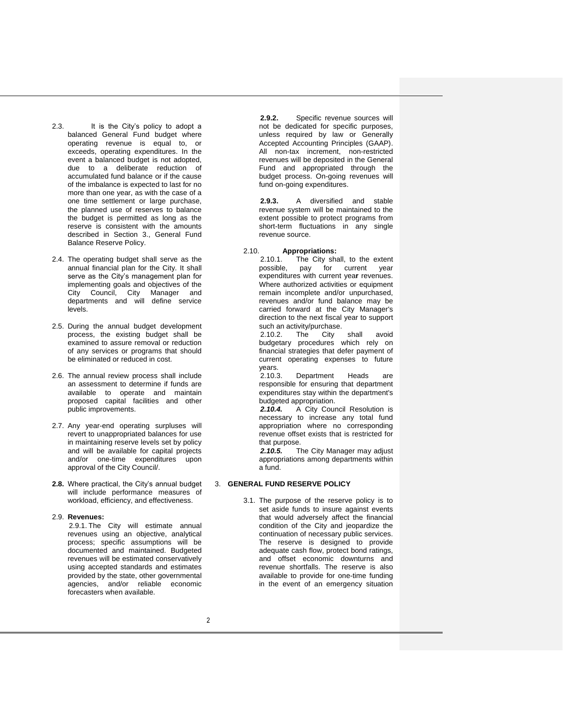- 2.3. It is the City's policy to adopt a balanced General Fund budget where operating revenue is equal to, or exceeds, operating expenditures. In the event a balanced budget is not adopted, due to a deliberate reduction of accumulated fund balance or if the cause of the imbalance is expected to last for no more than one year, as with the case of a one time settlement or large purchase, the planned use of reserves to balance the budget is permitted as long as the reserve is consistent with the amounts described in Section 3., General Fund Balance Reserve Policy.
- 2.4. The operating budget shall serve as the annual financial plan for the City. It shall serve as the City's management plan for implementing goals and objectives of the City Council, City Manager and departments and will define service levels.
- 2.5. During the annual budget development process, the existing budget shall be examined to assure removal or reduction of any services or programs that should be eliminated or reduced in cost.
- 2.6. The annual review process shall include an assessment to determine if funds are available to operate and maintain proposed capital facilities and other public improvements.
- 2.7. Any year-end operating surpluses will revert to unappropriated balances for use in maintaining reserve levels set by policy and will be available for capital projects and/or one-time expenditures upon approval of the City Council/.
- **2.8.** Where practical, the City's annual budget will include performance measures of workload, efficiency, and effectiveness.

#### 2.9. **Revenues:**

2.9.1. The City will estimate annual revenues using an objective, analytical process; specific assumptions will be documented and maintained. Budgeted revenues will be estimated conservatively using accepted standards and estimates provided by the state, other governmental agencies, and/or reliable economic forecasters when available.

**2.9.2.** Specific revenue sources will not be dedicated for specific purposes, unless required by law or Generally Accepted Accounting Principles (GAAP). All non-tax increment, non-restricted revenues will be deposited in the General Fund and appropriated through the budget process. On-going revenues will fund on-going expenditures.

**2.9.3.** A diversified and stable revenue system will be maintained to the extent possible to protect programs from short-term fluctuations in any single revenue source.

#### 2.10. **Appropriations:**

2.10.1. The City shall, to the extent possible, pay for current year pay for current year expenditures with current yea**r** revenues. Where authorized activities or equipment remain incomplete and/or unpurchased, revenues and/or fund balance may be carried forward at the City Manager's direction to the next fiscal year to support such an activity/purchase.

2.10.2. The City shall avoid budgetary procedures which rely on financial strategies that defer payment of current operating expenses to future years.

2.10.3. Department Heads are responsible for ensuring that department expenditures stay within the department's budgeted appropriation.<br>**2.10.4.** A City Cour

*2.10.4.* A City Council Resolution is necessary to increase any total fund appropriation where no corresponding revenue offset exists that is restricted for that purpose.

*2.10.5.* The City Manager may adjust appropriations among departments within a fund.

#### 3. **GENERAL FUND RESERVE POLICY**

3.1. The purpose of the reserve policy is to set aside funds to insure against events that would adversely affect the financial condition of the City and jeopardize the continuation of necessary public services. The reserve is designed to provide adequate cash flow, protect bond ratings, and offset economic downturns and revenue shortfalls. The reserve is also available to provide for one-time funding in the event of an emergency situation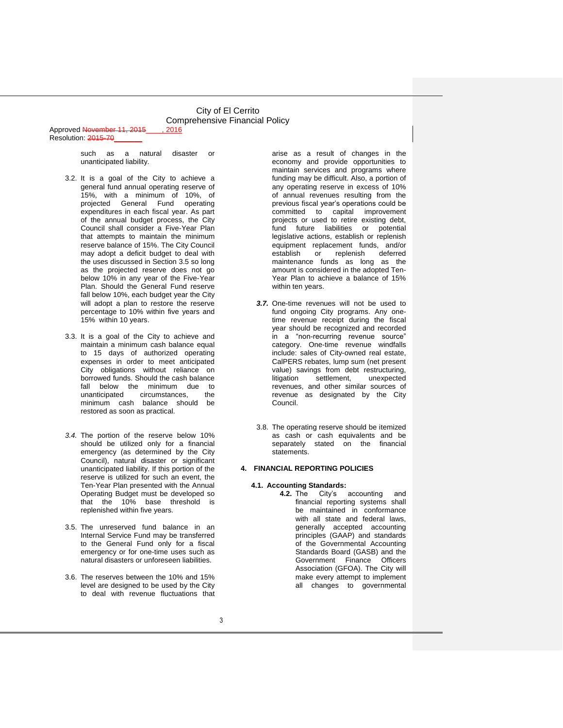Approved November 11, 2015 Resolution: 2015-70

> such as a natural disaster or unanticipated liability.

- 3.2. It is a goal of the City to achieve a general fund annual operating reserve of 15%, with a minimum of 10%, of projected General Fund operating expenditures in each fiscal year. As part of the annual budget process, the City Council shall consider a Five-Year Plan that attempts to maintain the minimum reserve balance of 15%. The City Council may adopt a deficit budget to deal with the uses discussed in Section 3.5 so long as the projected reserve does not go below 10% in any year of the Five-Year Plan. Should the General Fund reserve fall below 10%, each budget year the City will adopt a plan to restore the reserve percentage to 10% within five years and 15% within 10 years.
- 3.3. It is a goal of the City to achieve and maintain a minimum cash balance equal to 15 days of authorized operating expenses in order to meet anticipated City obligations without reliance on borrowed funds. Should the cash balance fall below the minimum due to<br>unanticinated circumstances, the circumstances, minimum cash balance should be restored as soon as practical.
- *3.4.* The portion of the reserve below 10% should be utilized only for a financial emergency (as determined by the City Council), natural disaster or significant unanticipated liability. If this portion of the reserve is utilized for such an event, the Ten-Year Plan presented with the Annual Operating Budget must be developed so that the 10% base threshold is replenished within five years*.*
- 3.5. The unreserved fund balance in an Internal Service Fund may be transferred to the General Fund only for a fiscal emergency or for one-time uses such as natural disasters or unforeseen liabilities.
- 3.6. The reserves between the 10% and 15% level are designed to be used by the City to deal with revenue fluctuations that

arise as a result of changes in the economy and provide opportunities to maintain services and programs where funding may be difficult. Also, a portion of any operating reserve in excess of 10% of annual revenues resulting from the previous fiscal year's operations could be committed to capital improvement projects or used to retire existing debt, fund future liabilities or potential legislative actions, establish or replenish equipment replacement funds, and/or<br>establish or replenish deferred or replenish deferred maintenance funds as long as the amount is considered in the adopted Ten-Year Plan to achieve a balance of 15% within ten years.

- *3.7.* One-time revenues will not be used to fund ongoing City programs. Any onetime revenue receipt during the fiscal year should be recognized and recorded in a "non-recurring revenue source" category. One-time revenue windfalls include: sales of City-owned real estate, CalPERS rebates, lump sum (net present value) savings from debt restructuring, litigation settlement, unexpected revenues, and other similar sources of revenue as designated by the City Council.
- 3.8. The operating reserve should be itemized as cash or cash equivalents and be separately stated on the financial statements.

#### **4. FINANCIAL REPORTING POLICIES**

#### **4.1. Accounting Standards:**

**4.2.** The City's accounting and financial reporting systems shall be maintained in conformance with all state and federal laws, generally accepted accounting principles (GAAP) and standards of the Governmental Accounting Standards Board (GASB) and the Government Finance Officers Association (GFOA). The City will make every attempt to implement all changes to governmental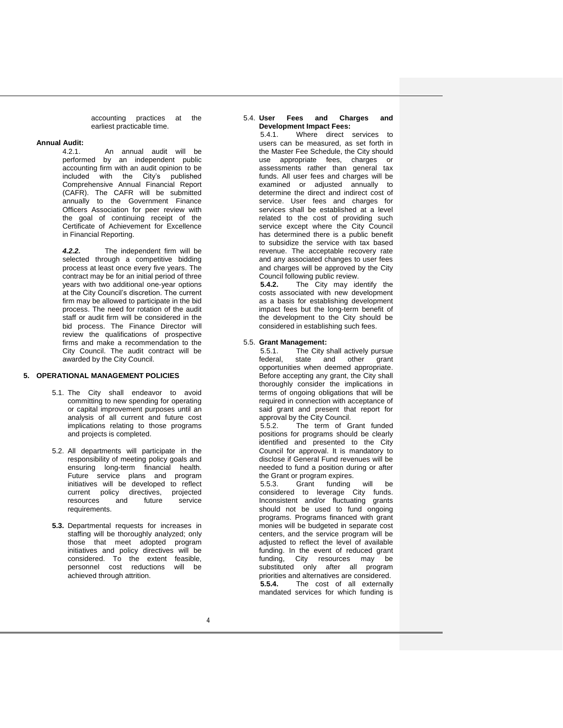accounting practices at the earliest practicable time.

#### **Annual Audit:**

4.2.1. An annual audit will be performed by an independent public accounting firm with an audit opinion to be included with the City's published Comprehensive Annual Financial Report (CAFR). The CAFR will be submitted annually to the Government Finance Officers Association for peer review with the goal of continuing receipt of the Certificate of Achievement for Excellence in Financial Reporting.

*4.2.2.* The independent firm will be selected through a competitive bidding process at least once every five years. The contract may be for an initial period of three years with two additional one-year options at the City Council's discretion. The current firm may be allowed to participate in the bid process. The need for rotation of the audit staff or audit firm will be considered in the bid process. The Finance Director will review the qualifications of prospective firms and make a recommendation to the City Council. The audit contract will be awarded by the City Council.

#### **5. OPERATIONAL MANAGEMENT POLICIES**

- 5.1. The City shall endeavor to avoid committing to new spending for operating or capital improvement purposes until an analysis of all current and future cost implications relating to those programs and projects is completed.
- 5.2. All departments will participate in the responsibility of meeting policy goals and ensuring long-term financial health. Future service plans and program initiatives will be developed to reflect current policy directives, projected<br>resources and future service resources<sup>1</sup> requirements.
- **5.3.** Departmental requests for increases in staffing will be thoroughly analyzed; only those that meet adopted program initiatives and policy directives will be considered. To the extent feasible, personnel cost reductions will be achieved through attrition.

#### 5.4. **User Fees and Charges and Development Impact Fees:**

5.4.1. Where direct services to users can be measured, as set forth in the Master Fee Schedule, the City should use appropriate fees, charges or assessments rather than general tax funds. All user fees and charges will be examined or adjusted annually to determine the direct and indirect cost of service. User fees and charges for services shall be established at a level related to the cost of providing such service except where the City Council has determined there is a public benefit to subsidize the service with tax based revenue. The acceptable recovery rate and any associated changes to user fees and charges will be approved by the City

Council following public review.<br>5.4.2. The City may identity **5.4.2.** The City may identify the costs associated with new development as a basis for establishing development impact fees but the long-term benefit of the development to the City should be considered in establishing such fees.

#### 5.5. **Grant Management:**

5.5.1. The City shall actively pursue federal, state and other grant opportunities when deemed appropriate. Before accepting any grant, the City shall thoroughly consider the implications in terms of ongoing obligations that will be required in connection with acceptance of said grant and present that report for approval by the City Council.<br>552 The term of G

The term of Grant funded positions for programs should be clearly identified and presented to the City Council for approval. It is mandatory to disclose if General Fund revenues will be needed to fund a position during or after the Grant or program expires.

5.5.3. Grant funding will be considered to leverage City funds. Inconsistent and/or fluctuating grants should not be used to fund ongoing programs. Programs financed with grant monies will be budgeted in separate cost centers, and the service program will be adjusted to reflect the level of available funding. In the event of reduced grant funding, City resources may be substituted only after all program priorities and alternatives are considered. **5.5.4.** The cost of all externally mandated services for which funding is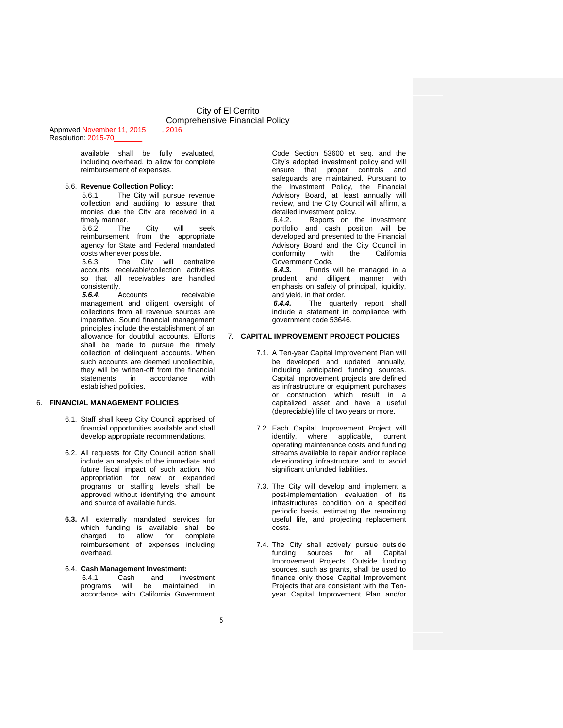#### Approved November 11, 2015 . 2016 Resolution: 2015-70

available shall be fully evaluated, including overhead, to allow for complete reimbursement of expenses.

#### 5.6. **Revenue Collection Policy:**

5.6.1. The City will pursue revenue collection and auditing to assure that monies due the City are received in a timely manner.

5.6.2. The City will seek reimbursement from the appropriate agency for State and Federal mandated costs whenever possible.<br>5.6.3 The City

The City will centralize accounts receivable/collection activities so that all receivables are handled consistently.<br>5.6.4  $\mu$ 

*5.6.4.* Accounts receivable management and diligent oversight of collections from all revenue sources are imperative. Sound financial management principles include the establishment of an allowance for doubtful accounts. Efforts shall be made to pursue the timely collection of delinquent accounts. When such accounts are deemed uncollectible, they will be written-off from the financial statements in accordance with established policies.

#### 6. **FINANCIAL MANAGEMENT POLICIES**

- 6.1. Staff shall keep City Council apprised of financial opportunities available and shall develop appropriate recommendations.
- 6.2. All requests for City Council action shall include an analysis of the immediate and future fiscal impact of such action. No appropriation for new or expanded programs or staffing levels shall be approved without identifying the amount and source of available funds.
- **6.3.** All externally mandated services for which funding is available shall be<br>charged to allow for complete allow for complete reimbursement of expenses including overhead.
- 6.4. **Cash Management Investment:** 6.4.1. Cash and investment programs will be maintained in accordance with California Government

Code Section 53600 et seq. and the City's adopted investment policy and will ensure that proper controls and safeguards are maintained. Pursuant to the Investment Policy, the Financial Advisory Board, at least annually will review, and the City Council will affirm, a detailed investment policy.

6.4.2. Reports on the investment portfolio and cash position will be developed and presented to the Financial Advisory Board and the City Council in<br>
conformity with the California conformity Government Code.<br>6.4.3. Funds

*6.4.3.* Funds will be managed in a prudent and diligent manner with emphasis on safety of principal, liquidity, and yield, in that order.

*6.4.4.* The quarterly report shall include a statement in compliance with government code 53646.

#### 7. **CAPITAL IMPROVEMENT PROJECT POLICIES**

- 7.1. A Ten-year Capital Improvement Plan will be developed and updated annually, including anticipated funding sources. Capital improvement projects are defined as infrastructure or equipment purchases or construction which result in a capitalized asset and have a useful (depreciable) life of two years or more.
- 7.2. Each Capital Improvement Project will identify, where applicable, current operating maintenance costs and funding streams available to repair and/or replace deteriorating infrastructure and to avoid significant unfunded liabilities.
- 7.3. The City will develop and implement a post-implementation evaluation of its infrastructures condition on a specified periodic basis, estimating the remaining useful life, and projecting replacement costs.
- 7.4. The City shall actively pursue outside funding sources for all Capital Improvement Projects. Outside funding sources, such as grants, shall be used to finance only those Capital Improvement Projects that are consistent with the Tenyear Capital Improvement Plan and/or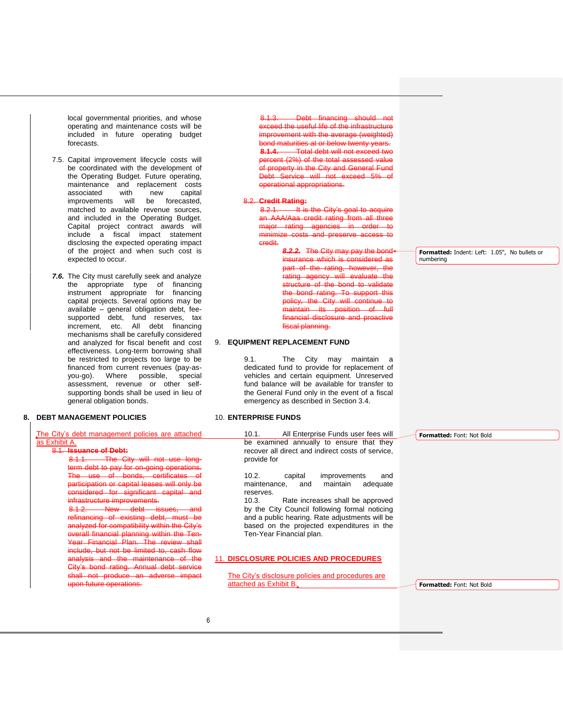local governmental priorities, and whose operating and maintenance costs will be included in future operating budget forecasts.

- 7.5. Capital improvement lifecycle costs will be coordinated with the development of the Operating Budget. Future operating, maintenance and replacement costs associated with new capital improvements will be forecasted, matched to available revenue sources, and included in the Operating Budget. Capital project contract awards will include a fiscal impact statement disclosing the expected operating impact of the project and when such cost is expected to occur.
- *7.6.* The City must carefully seek and analyze the appropriate type of financing instrument appropriate for financing capital projects. Several options may be available – general obligation debt, feesupported debt, fund reserves, tax increment, etc. All debt financing mechanisms shall be carefully considered and analyzed for fiscal benefit and cost effectiveness. Long-term borrowing shall be restricted to projects too large to be financed from current revenues (pay-asyou-go). Where possible, special assessment, revenue or other selfsupporting bonds shall be used in lieu of general obligation bonds.

#### **8. DEBT MANAGEMENT POLICIES**

| The City's debt management policies are attached            |
|-------------------------------------------------------------|
| as Exhibit A.                                               |
| 8.1 Issuance of Debt:                                       |
| The City will not use Jong.                                 |
| tarm daht to nav for on-going operations                    |
| bonds.<br>certificates<br>The<br>use<br>eŧ                  |
| participation or capital leases will only be                |
| eianificant<br>conital                                      |
| <b>Ire improvements</b>                                     |
| iceuac<br><b>INDIAN MODE</b><br><b>WEIGHT</b>               |
| rofinanoinc                                                 |
| analyzed for compatibility within<br>∩itv'e<br>$+ h \wedge$ |
| overall financial planning<br>the Ten.                      |
|                                                             |

Year Financial Plan. The review shall include, but not be limited to, cash flow analysis and the maintenance of the City's bond rating. Annual debt service shall not produce an adverse impact upon future operations.

8.1.3. Debt financing should not exceed the useful life of the infrastructure norovement with the average (weighted) maturities at or below ty **Total debt will not ex**percent (2%) of the total assessed operty in the City and General F Service will not exceed tional appropriations.

#### 8.2. **Credit Rating:**

 $8.2.1.$  It is the City's AAA/Aaa credit rating from all three rating agencies minimize costs and preserve access to credit.

> **8.2.2.** The City may pay the insurance which is part of the rating, however, the rating agency will evaluate the structure of the bond to validate the bond rating. To support this the City will continue its position disclosur fiscal planning.

#### 9. **EQUIPMENT REPLACEMENT FUND**

9.1. The City may maintain a dedicated fund to provide for replacement of vehicles and certain equipment. Unreserved fund balance will be available for transfer to the General Fund only in the event of a fiscal emergency as described in Section 3.4.

#### 10. **ENTERPRISE FUNDS**

10.1. All Enterprise Funds user fees will be examined annually to ensure that they recover all direct and indirect costs of service, provide for

10.2. capital improvements and maintenance, and maintain adequate reserves.

10.3. Rate increases shall be approved by the City Council following formal noticing and a public hearing. Rate adjustments will be based on the projected expenditures in the Ten-Year Financial plan.

#### 11. **DISCLOSURE POLICIES AND PROCEDURES**

The City's disclosure policies and procedures are attached as Exhibit B.

**Formatted:** Font: Not Bold

**Formatted:** Indent: Left: 1.05", No bullets or numbering

**Formatted:** Font: Not Bold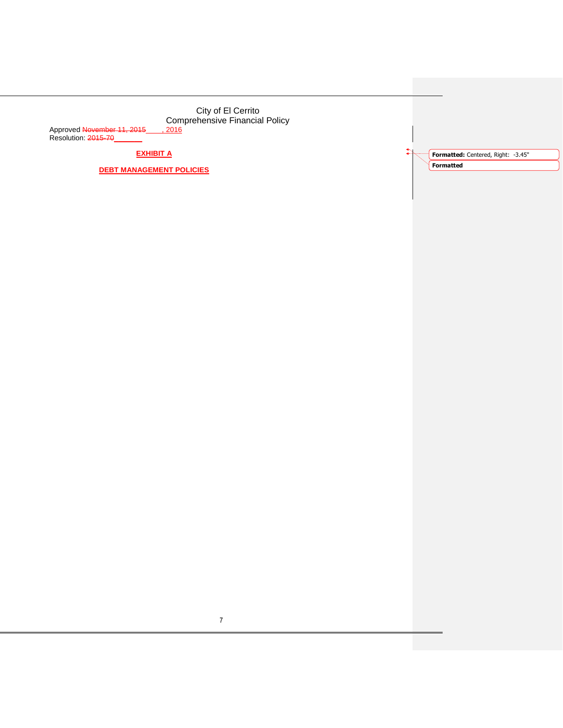Approved <del>November 11, 2015</del>\_\_\_\_<u>, 2016</u> Resolution: 2015-70\_\_\_\_\_\_\_

**EXHIBIT A**

**DEBT MANAGEMENT POLICIES**

**Formatted:** Centered, Right: -3.45" **Formatted**

 $\uparrow$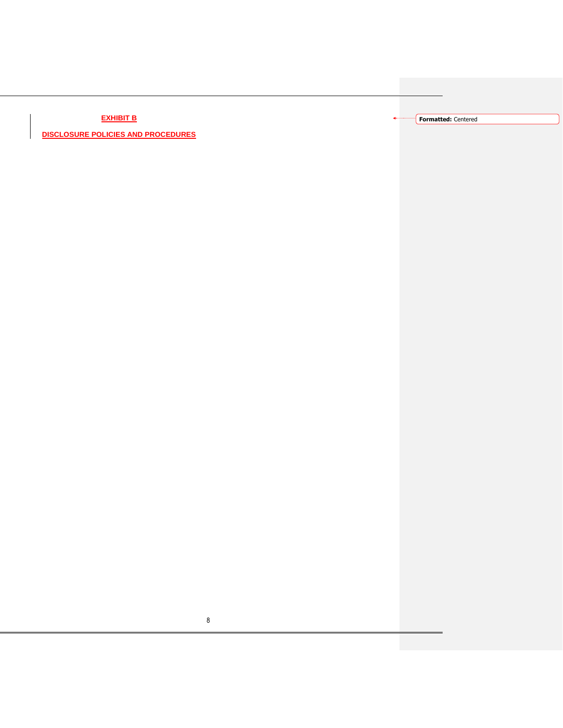**EXHIBIT B**

**DISCLOSURE POLICIES AND PROCEDURES**

**Formatted:** Centered

ä.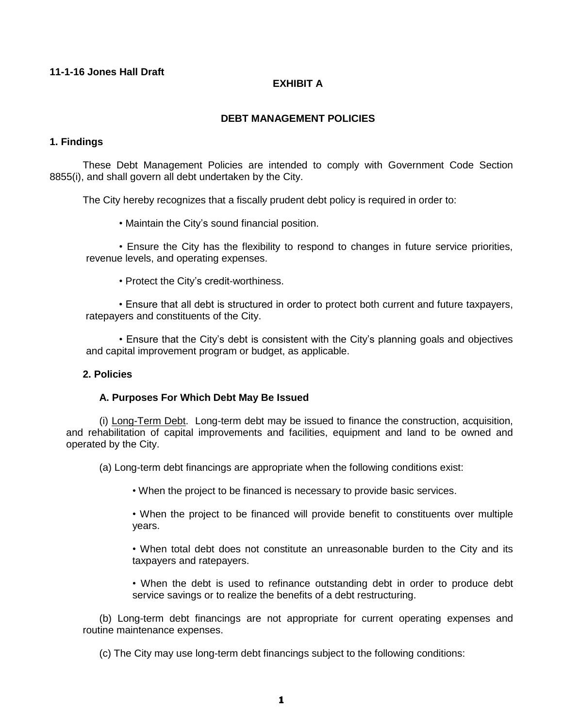## **11-1-16 Jones Hall Draft**

## **EXHIBIT A**

## **DEBT MANAGEMENT POLICIES**

## **1. Findings**

These Debt Management Policies are intended to comply with Government Code Section 8855(i), and shall govern all debt undertaken by the City.

The City hereby recognizes that a fiscally prudent debt policy is required in order to:

• Maintain the City's sound financial position.

• Ensure the City has the flexibility to respond to changes in future service priorities, revenue levels, and operating expenses.

• Protect the City's credit-worthiness.

• Ensure that all debt is structured in order to protect both current and future taxpayers, ratepayers and constituents of the City.

• Ensure that the City's debt is consistent with the City's planning goals and objectives and capital improvement program or budget, as applicable.

## **2. Policies**

### **A. Purposes For Which Debt May Be Issued**

(i) Long-Term Debt. Long-term debt may be issued to finance the construction, acquisition, and rehabilitation of capital improvements and facilities, equipment and land to be owned and operated by the City.

(a) Long-term debt financings are appropriate when the following conditions exist:

• When the project to be financed is necessary to provide basic services.

• When the project to be financed will provide benefit to constituents over multiple years.

• When total debt does not constitute an unreasonable burden to the City and its taxpayers and ratepayers.

• When the debt is used to refinance outstanding debt in order to produce debt service savings or to realize the benefits of a debt restructuring.

(b) Long-term debt financings are not appropriate for current operating expenses and routine maintenance expenses.

(c) The City may use long-term debt financings subject to the following conditions: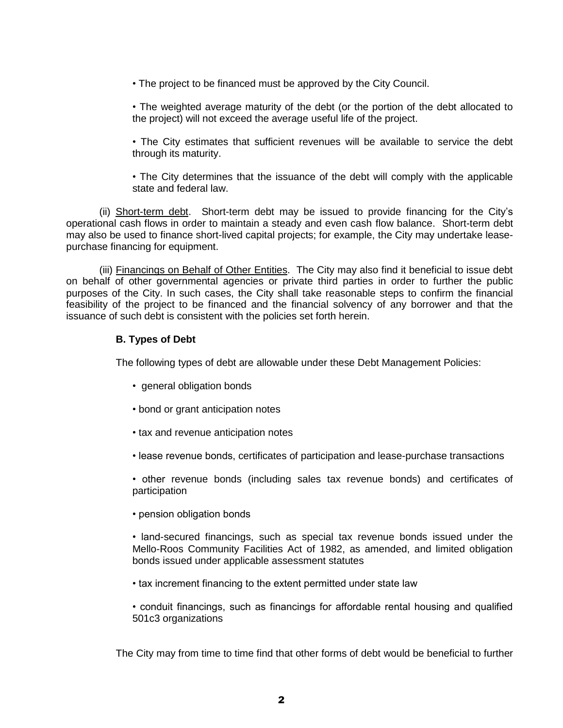• The project to be financed must be approved by the City Council.

• The weighted average maturity of the debt (or the portion of the debt allocated to the project) will not exceed the average useful life of the project.

• The City estimates that sufficient revenues will be available to service the debt through its maturity.

• The City determines that the issuance of the debt will comply with the applicable state and federal law.

(ii) Short-term debt. Short-term debt may be issued to provide financing for the City's operational cash flows in order to maintain a steady and even cash flow balance. Short-term debt may also be used to finance short-lived capital projects; for example, the City may undertake leasepurchase financing for equipment.

(iii) Financings on Behalf of Other Entities. The City may also find it beneficial to issue debt on behalf of other governmental agencies or private third parties in order to further the public purposes of the City. In such cases, the City shall take reasonable steps to confirm the financial feasibility of the project to be financed and the financial solvency of any borrower and that the issuance of such debt is consistent with the policies set forth herein.

## **B. Types of Debt**

The following types of debt are allowable under these Debt Management Policies:

- general obligation bonds
- bond or grant anticipation notes
- tax and revenue anticipation notes
- lease revenue bonds, certificates of participation and lease-purchase transactions

• other revenue bonds (including sales tax revenue bonds) and certificates of participation

• pension obligation bonds

• land-secured financings, such as special tax revenue bonds issued under the Mello-Roos Community Facilities Act of 1982, as amended, and limited obligation bonds issued under applicable assessment statutes

• tax increment financing to the extent permitted under state law

• conduit financings, such as financings for affordable rental housing and qualified 501c3 organizations

The City may from time to time find that other forms of debt would be beneficial to further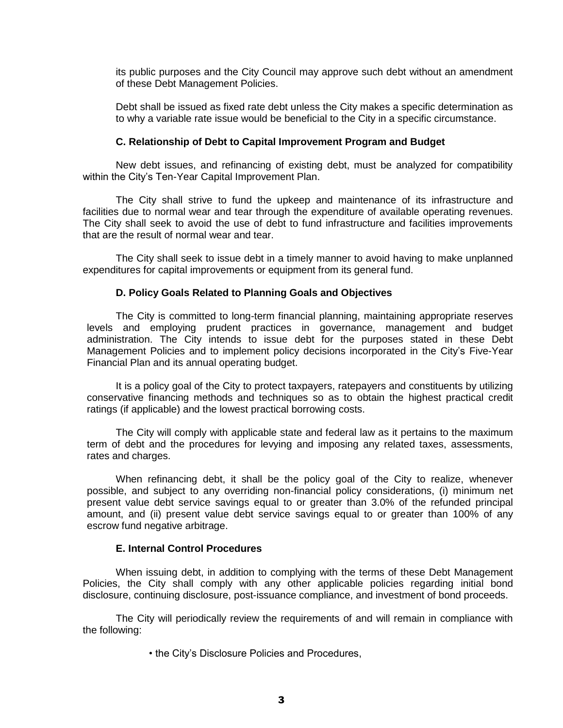its public purposes and the City Council may approve such debt without an amendment of these Debt Management Policies.

Debt shall be issued as fixed rate debt unless the City makes a specific determination as to why a variable rate issue would be beneficial to the City in a specific circumstance.

### **C. Relationship of Debt to Capital Improvement Program and Budget**

New debt issues, and refinancing of existing debt, must be analyzed for compatibility within the City's Ten-Year Capital Improvement Plan.

The City shall strive to fund the upkeep and maintenance of its infrastructure and facilities due to normal wear and tear through the expenditure of available operating revenues. The City shall seek to avoid the use of debt to fund infrastructure and facilities improvements that are the result of normal wear and tear.

The City shall seek to issue debt in a timely manner to avoid having to make unplanned expenditures for capital improvements or equipment from its general fund.

### **D. Policy Goals Related to Planning Goals and Objectives**

The City is committed to long-term financial planning, maintaining appropriate reserves levels and employing prudent practices in governance, management and budget administration. The City intends to issue debt for the purposes stated in these Debt Management Policies and to implement policy decisions incorporated in the City's Five-Year Financial Plan and its annual operating budget.

It is a policy goal of the City to protect taxpayers, ratepayers and constituents by utilizing conservative financing methods and techniques so as to obtain the highest practical credit ratings (if applicable) and the lowest practical borrowing costs.

The City will comply with applicable state and federal law as it pertains to the maximum term of debt and the procedures for levying and imposing any related taxes, assessments, rates and charges.

When refinancing debt, it shall be the policy goal of the City to realize, whenever possible, and subject to any overriding non-financial policy considerations, (i) minimum net present value debt service savings equal to or greater than 3.0% of the refunded principal amount, and (ii) present value debt service savings equal to or greater than 100% of any escrow fund negative arbitrage.

### **E. Internal Control Procedures**

When issuing debt, in addition to complying with the terms of these Debt Management Policies, the City shall comply with any other applicable policies regarding initial bond disclosure, continuing disclosure, post-issuance compliance, and investment of bond proceeds.

The City will periodically review the requirements of and will remain in compliance with the following:

• the City's Disclosure Policies and Procedures,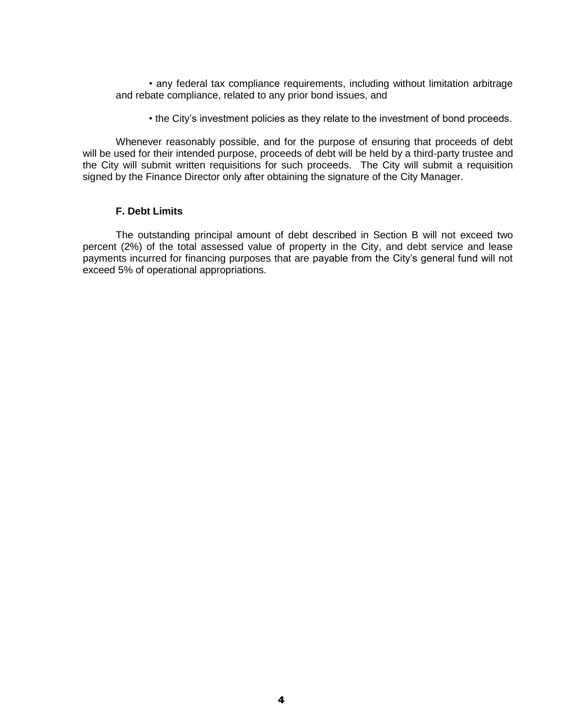• any federal tax compliance requirements, including without limitation arbitrage and rebate compliance, related to any prior bond issues, and

• the City's investment policies as they relate to the investment of bond proceeds.

Whenever reasonably possible, and for the purpose of ensuring that proceeds of debt will be used for their intended purpose, proceeds of debt will be held by a third-party trustee and the City will submit written requisitions for such proceeds. The City will submit a requisition signed by the Finance Director only after obtaining the signature of the City Manager.

### **F. Debt Limits**

The outstanding principal amount of debt described in Section B will not exceed two percent (2%) of the total assessed value of property in the City, and debt service and lease payments incurred for financing purposes that are payable from the City's general fund will not exceed 5% of operational appropriations.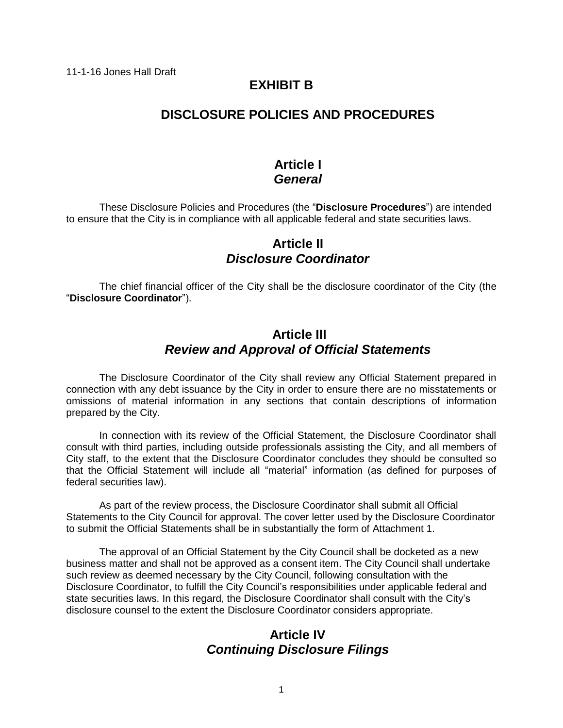# **EXHIBIT B**

# **DISCLOSURE POLICIES AND PROCEDURES**

## **Article I** *General*

These Disclosure Policies and Procedures (the "**Disclosure Procedures**") are intended to ensure that the City is in compliance with all applicable federal and state securities laws.

# **Article II** *Disclosure Coordinator*

The chief financial officer of the City shall be the disclosure coordinator of the City (the "**Disclosure Coordinator**").

# **Article III** *Review and Approval of Official Statements*

The Disclosure Coordinator of the City shall review any Official Statement prepared in connection with any debt issuance by the City in order to ensure there are no misstatements or omissions of material information in any sections that contain descriptions of information prepared by the City.

In connection with its review of the Official Statement, the Disclosure Coordinator shall consult with third parties, including outside professionals assisting the City, and all members of City staff, to the extent that the Disclosure Coordinator concludes they should be consulted so that the Official Statement will include all "material" information (as defined for purposes of federal securities law).

As part of the review process, the Disclosure Coordinator shall submit all Official Statements to the City Council for approval. The cover letter used by the Disclosure Coordinator to submit the Official Statements shall be in substantially the form of Attachment 1.

The approval of an Official Statement by the City Council shall be docketed as a new business matter and shall not be approved as a consent item. The City Council shall undertake such review as deemed necessary by the City Council, following consultation with the Disclosure Coordinator, to fulfill the City Council's responsibilities under applicable federal and state securities laws. In this regard, the Disclosure Coordinator shall consult with the City's disclosure counsel to the extent the Disclosure Coordinator considers appropriate.

# **Article IV** *Continuing Disclosure Filings*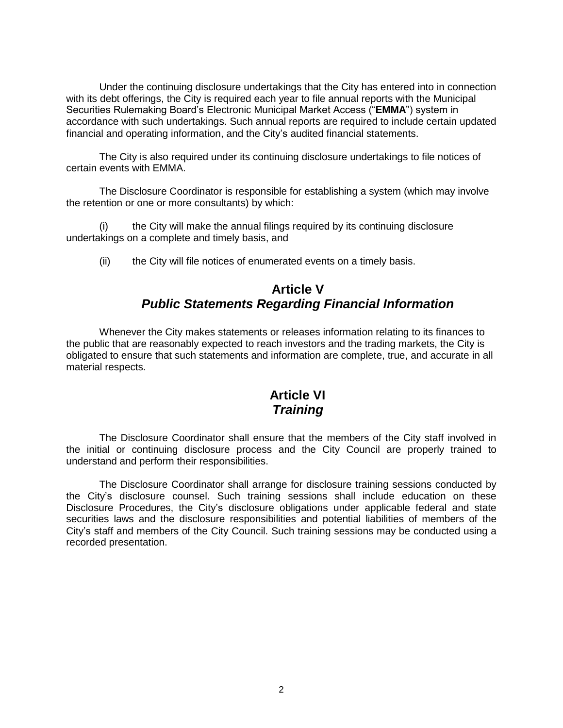Under the continuing disclosure undertakings that the City has entered into in connection with its debt offerings, the City is required each year to file annual reports with the Municipal Securities Rulemaking Board's Electronic Municipal Market Access ("**EMMA**") system in accordance with such undertakings. Such annual reports are required to include certain updated financial and operating information, and the City's audited financial statements.

The City is also required under its continuing disclosure undertakings to file notices of certain events with EMMA.

The Disclosure Coordinator is responsible for establishing a system (which may involve the retention or one or more consultants) by which:

(i) the City will make the annual filings required by its continuing disclosure undertakings on a complete and timely basis, and

(ii) the City will file notices of enumerated events on a timely basis.

# **Article V** *Public Statements Regarding Financial Information*

Whenever the City makes statements or releases information relating to its finances to the public that are reasonably expected to reach investors and the trading markets, the City is obligated to ensure that such statements and information are complete, true, and accurate in all material respects.

# **Article VI** *Training*

The Disclosure Coordinator shall ensure that the members of the City staff involved in the initial or continuing disclosure process and the City Council are properly trained to understand and perform their responsibilities.

The Disclosure Coordinator shall arrange for disclosure training sessions conducted by the City's disclosure counsel. Such training sessions shall include education on these Disclosure Procedures, the City's disclosure obligations under applicable federal and state securities laws and the disclosure responsibilities and potential liabilities of members of the City's staff and members of the City Council. Such training sessions may be conducted using a recorded presentation.